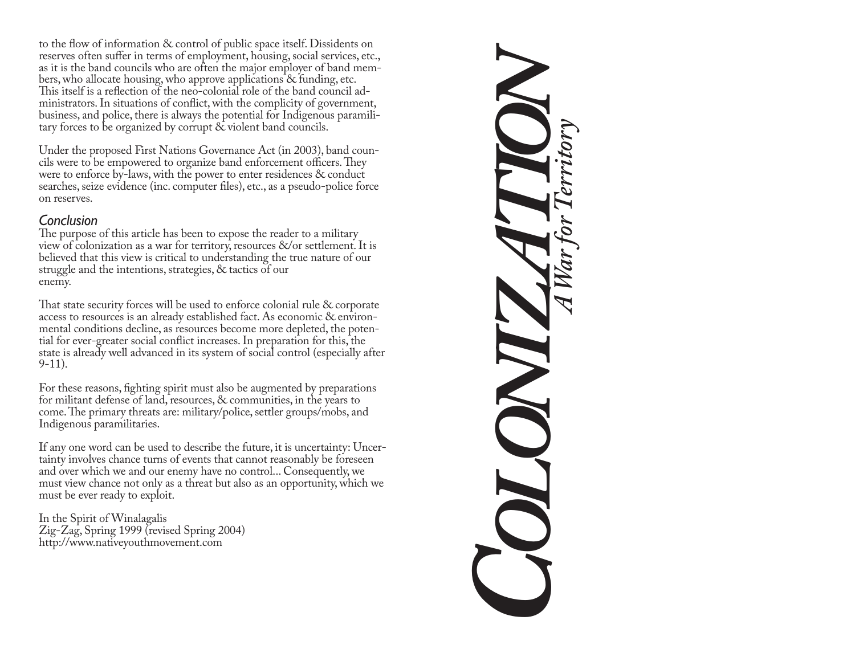to the flow of information & control of public space itself. Dissidents on reserves often suffer in terms of employment, housing, social services, etc., as it is the band councils who are often the major employer of band members, who allocate housing, who approve applications & funding, etc. This itself is a reflection of the neo-colonial role of the band council administrators. In situations of conflict, with the complicity of government, business, and police, there is always the potential for Indigenous paramilitary forces to be organized by corrupt & violent band councils.

Under the proposed First Nations Governance Act (in 2003), band councils were to be empowered to organize band enforcement officers. They were to enforce by-laws, with the power to enter residences & conduct searches, seize evidence (inc. computer files), etc., as a pseudo-police force on reserves

#### Conclusion

The purpose of this article has been to expose the reader to a military view of colonization as a war for territory, resources &/or settlement. It is believed that this view is critical to understanding the true nature of our struggle and the intentions, strategies, & tactics of our enemy.

That state security forces will be used to enforce colonial rule & corporate access to resources is an already established fact. As economic & environmental conditions decline, as resources become more depleted, the potential for ever-greater social conflict increases. In preparation for this, the state is already well advanced in its system of social control (especially after  $9-11$ ).

For these reasons, fighting spirit must also be augmented by preparations for militant defense of land, resources, & communities, in the years to come. The primary threats are: military/police, settler groups/mobs, and Indigenous paramilitaries.

If any one word can be used to describe the future, it is uncertainty: Uncertainty involves chance turns of events that cannot reasonably be foreseen and over which we and our enemy have no control... Consequently, we must view chance not only as a threat but also as an opportunity, which we must be ever ready to exploit.

In the Spirit of Winalagalis Zig-Zag, Spring 1999 (revised Spring 2004) http://www.nativeyouthmovement.com

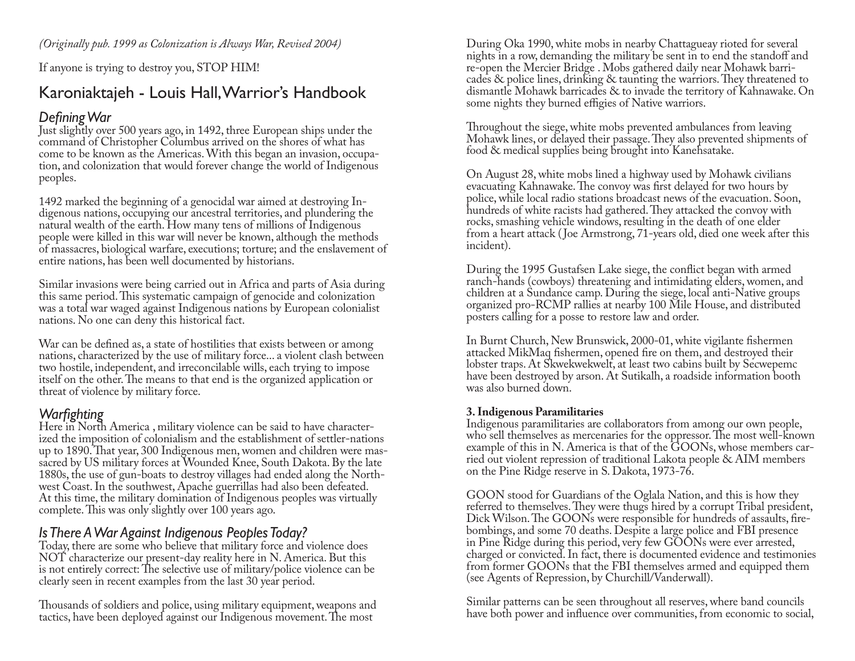If anyone is trying to destroy you, STOP HIM!

# Karoniaktajeh - Louis Hall, Warrior's Handbook

# Defining War

Just slightly over 500 years ago, in 1492, three European ships under the command of Christopher Columbus arrived on the shores of what has come to be known as the Americas. With this began an invasion, occupation, and colonization that would forever change the world of Indigenous peoples.

1492 marked the beginning of a genocidal war aimed at destroying Indigenous nations, occupying our ancestral territories, and plundering the natural wealth of the earth. How many tens of millions of Indigenous people were killed in this war will never be known, although the methods of massacres, biological warfare, executions; torture; and the enslavement of entire nations, has been well documented by historians.

Similar invasions were being carried out in Africa and parts of Asia during this same period. This systematic campaign of genocide and colonization was a total war waged against Indigenous nations by European colonialist nations. No one can deny this historical fact.

War can be defined as, a state of hostilities that exists between or among nations, characterized by the use of military force... a violent clash between two hostile, independent, and irreconcilable wills, each trying to impose itself on the other. The means to that end is the organized application or threat of violence by military force.

# Warfighting

Here in North America, military violence can be said to have characterized the imposition of colonialism and the establishment of settler-nations up to 1890. That year, 300 Indigenous men, women and children were massacred by US military forces at Wounded Knee, South Dakota. By the late 1880s, the use of gun-boats to destroy villages had ended along the Northwest Coast. In the southwest, Apache guerrillas had also been defeated. At this time, the military domination of Indigenous peoples was virtually complete. This was only slightly over 100 years ago.

# Is There A War Against Indigenous Peoples Today?

Today, there are some who believe that military force and violence does NOT characterize our present-day reality here in N. America. But this is not entirely correct: The selective use of military/police violence can be clearly seen in recent examples from the last 30 year period.

Thousands of soldiers and police, using military equipment, weapons and tactics, have been deployed against our Indigenous movement. The most

During Oka 1990, white mobs in nearby Chattagueay rioted for several nights in a row, demanding the military be sent in to end the standoff and re-open the Mercier Bridge. Mobs gathered daily near Mohawk barricades & police lines, drinking & taunting the warriors. They threatened to dismantle Mohawk barricades & to invade the territory of Kahnawake. On some nights they burned effigies of Native warriors.

Throughout the siege, white mobs prevented ambulances from leaving Mohawk lines, or delayed their passage. They also prevented shipments of food & medical supplies being brought into Kanehsatake.

On August 28, white mobs lined a highway used by Mohawk civilians evacuating Kahnawake. The convoy was first delayed for two hours by police, while local radio stations broadcast news of the evacuation. Soon, hundreds of white racists had gathered. They attacked the convoy with rocks, smashing vehicle windows, resulting in the death of one elder from a heart attack (Joe Armstrong, 71-years old, died one week after this incident).

During the 1995 Gustafsen Lake siege, the conflict began with armed ranch-hands (cowboys) threatening and intimidating elders, women, and children at a Sundance camp. During the siege, local anti-Native groups organized pro-RCMP rallies at nearby 100 Mile House, and distributed posters calling for a posse to restore law and order.

In Burnt Church, New Brunswick, 2000-01, white vigilante fishermen attacked MikMaq fishermen, opened fire on them, and destroyed their lobster traps. At Skwekwekwelt, at least two cabins built by Secwepemc have been destroyed by arson. At Sutikalh, a roadside information booth was also burned down.

#### 3. Indigenous Paramilitaries

Indigenous paramilitaries are collaborators from among our own people, who sell themselves as mercenaries for the oppressor. The most well-known example of this in N. America is that of the GOONs, whose members carried out violent repression of traditional Lakota people & AIM members on the Pine Ridge reserve in S. Dakota, 1973-76.

GOON stood for Guardians of the Oglala Nation, and this is how they referred to themselves. They were thugs hired by a corrupt Tribal president, Dick Wilson. The GOONs were responsible for hundreds of assaults, firebombings, and some 70 deaths. Despite a large police and FBI presence in Pine Ridge during this period, very few GOONs were ever arrested, charged or convicted. In fact, there is documented evidence and testimonies from former GOONs that the FBI themselves armed and equipped them (see Agents of Repression, by Churchill/Vanderwall).

Similar patterns can be seen throughout all reserves, where band councils have both power and influence over communities, from economic to social,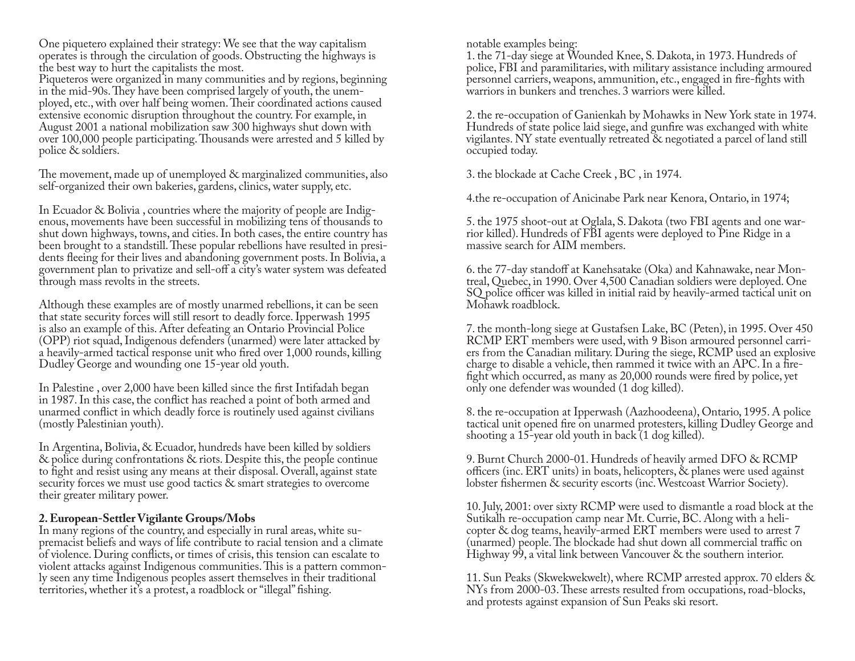One piquetero explained their strategy: We see that the way capitalism operates is through the circulation of goods. Obstructing the highways is the best way to hurt the capitalists the most.

Piqueteros were organized in many communities and by regions, beginning in the mid-90s. They have been comprised largely of youth, the unemployed, etc., with over half being women. Their coordinated actions caused extensive economic disruption throughout the country. For example, in August 2001 a national mobilization saw 300 highways shut down with over 100,000 people participating. Thousands were arrested and 5 killed by police & soldiers.

The movement, made up of unemployed & marginalized communities, also self-organized their own bakeries, gardens, clinics, water supply, etc.

In Ecuador & Bolivia, countries where the majority of people are Indigenous, movements have been successful in mobilizing tens of thousands to shut down highways, towns, and cities. In both cases, the entire country has been brought to a standstill. These popular rebellions have resulted in presidents fleeing for their lives and abandoning government posts. In Bolivia, a government plan to privatize and sell-off a city's water system was defeated through mass revolts in the streets.

Although these examples are of mostly unarmed rebellions, it can be seen that state security forces will still resort to deadly force. Ipperwash 1995 is also an example of this. After defeating an Ontario Provincial Police (OPP) riot squad, Indigenous defenders (unarmed) were later attacked by a heavily-armed tactical response unit who fired over 1,000 rounds, killing Dudley George and wounding one 15-year old youth.

In Palestine, over 2,000 have been killed since the first Intifadah began in 1987. In this case, the conflict has reached a point of both armed and unarmed conflict in which deadly force is routinely used against civilians (mostly Palestinian youth).

In Argentina, Bolivia, & Ecuador, hundreds have been killed by soldiers & police during confrontations & riots. Despite this, the people continue to fight and resist using any means at their disposal. Overall, against state security forces we must use good tactics & smart strategies to overcome their greater military power.

#### 2. European-Settler Vigilante Groups/Mobs

In many regions of the country, and especially in rural areas, white supremacist beliefs and ways of life contribute to racial tension and a climate of violence. During conflicts, or times of crisis, this tension can escalate to violent attacks against Indigenous communities. This is a pattern commonly seen any time Indigenous peoples assert themselves in their traditional territories, whether it's a protest, a roadblock or "illegal" fishing.

notable examples being:

1. the 71-day siege at Wounded Knee, S. Dakota, in 1973. Hundreds of police, FBI and paramilitaries, with military assistance including armoured personnel carriers, weapons, ammunition, etc., engaged in fire-fights with warriors in bunkers and trenches. 3 warriors were killed.

2. the re-occupation of Ganienkah by Mohawks in New York state in 1974. Hundreds of state police laid siege, and gunfire was exchanged with white vigilantes. NY state eventually retreated & negotiated a parcel of land still occupied today.

3. the blockade at Cache Creek, BC, in 1974.

4. The re-occupation of Anicinabe Park near Kenora, Ontario, in 1974;

5. the 1975 shoot-out at Oglala, S. Dakota (two FBI agents and one warrior killed). Hundreds of FBI agents were deployed to Pine Ridge in a massive search for AIM members.

6. the 77-day standoff at Kanehsatake (Oka) and Kahnawake, near Montreal, Quebec, in 1990. Over 4,500 Canadian soldiers were deployed. One SQ police officer was killed in initial raid by heavily-armed tactical unit on Mohawk roadblock.

7. the month-long siege at Gustafsen Lake, BC (Peten), in 1995. Over 450 RCMP ERT members were used, with 9 Bison armoured personnel carriers from the Canadian military. During the siege, RCMP used an explosive charge to disable a vehicle, then rammed it twice with an APC. In a firefight which occurred, as many as 20,000 rounds were fired by police, yet only one defender was wounded (1 dog killed).

8. the re-occupation at Ipperwash (Aazhoodeena), Ontario, 1995. A police tactical unit opened fire on unarmed protesters, killing Dudley George and shooting a 15-year old youth in back (1 dog killed).

9. Burnt Church 2000-01. Hundreds of heavily armed DFO & RCMP officers (inc. ERT units) in boats, helicopters, & planes were used against lobster fishermen & security escorts (inc. Westcoast Warrior Society).

10. July, 2001: over sixty RCMP were used to dismantle a road block at the Sutikalh re-occupation camp near Mt. Currie, BC. Along with a helicopter & dog teams, heavily-armed ERT members were used to arrest 7 (unarmed) people. The blockade had shut down all commercial traffic on Highway 99, a vital link between Vancouver & the southern interior.

11. Sun Peaks (Skwekwekwelt), where RCMP arrested approx. 70 elders & NYs from 2000-03. These arrests resulted from occupations, road-blocks, and protests against expansion of Sun Peaks ski resort.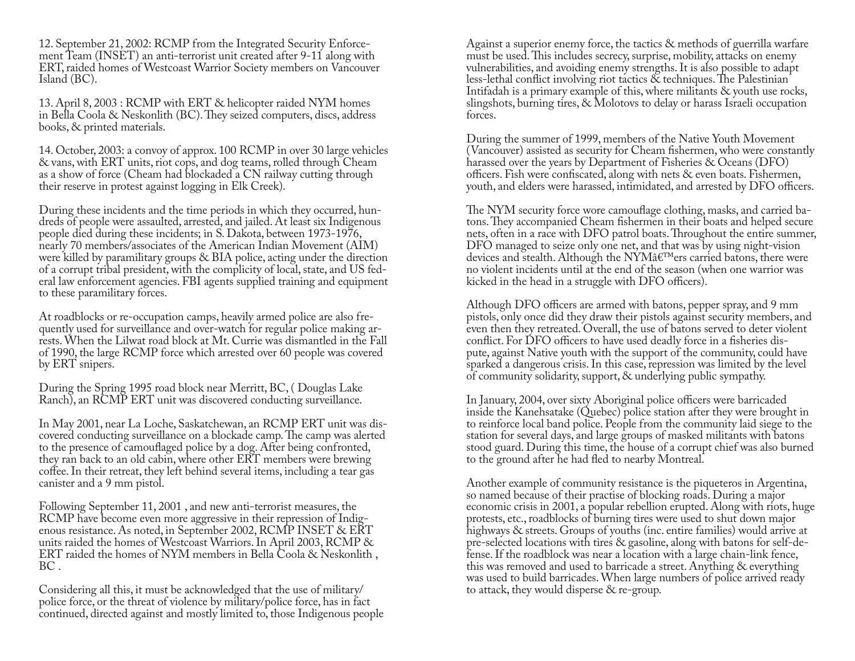12. September 21, 2002: RCMP from the Integrated Security Enforcement Team (INSET) an anti-terrorist unit created after 9-11 along with ERT, raided homes of Westcoast Warrior Society members on Vancouver Island (BC).

13. April 8, 2003 : RCMP with ERT & helicopter raided NYM homes in Bella Coola & Neskonlith (BC). They seized computers, discs, address books, & printed materials.

14. October, 2003: a convoy of approx. 100 RCMP in over 30 large vehicles & vans, with ERT units, riot cops, and dog teams, rolled through Cheam as a show of force (Cheam had blockaded a CN railway cutting through their reserve in protest against logging in Elk Creek).

During these incidents and the time periods in which they occurred, hundreds of people were assaulted, arrested, and jailed. At least six Indigenous people died during these incidents; in S. Dakota, between 1973-1976, nearly 70 members/associates of the American Indian Movement (AIM) were killed by paramilitary groups & BIA police, acting under the direction of a corrupt tribal president, with the complicity of local, state, and US federal law enforcement agencies. FBI agents supplied training and equipment to these paramilitary forces.

At roadblocks or re-occupation camps, heavily armed police are also frequently used for surveillance and over-watch for regular police making arrests. When the Lilwat road block at Mt. Currie was dismantled in the Fall of 1990, the large RCMP force which arrested over 60 people was covered by ERT snipers.

During the Spring 1995 road block near Merritt, BC, (Douglas Lake Ranch), an RCMP ERT unit was discovered conducting surveillance.

In May 2001, near La Loche, Saskatchewan, an RCMP ERT unit was discovered conducting surveillance on a blockade camp. The camp was alerted to the presence of camouflaged police by a dog. After being confronted, they ran back to an old cabin, where other ERT members were brewing coffee. In their retreat, they left behind several items, including a tear gas canister and a 9 mm pistol.

Following September 11, 2001, and new anti-terrorist measures, the RCMP have become even more aggressive in their repression of Indigenous resistance. As noted, in September 2002, RCMP INSET & ERT units raided the homes of Westcoast Warriors. In April 2003, RCMP & ERT raided the homes of NYM members in Bella Coola & Neskonlith, BC.

Considering all this, it must be acknowledged that the use of military/ police force, or the threat of violence by military/police force, has in fact continued, directed against and mostly limited to, those Indigenous people Against a superior enemy force, the tactics & methods of guerrilla warfare must be used. This includes secrecy, surprise, mobility, attacks on enemy vulnerabilities, and avoiding enemy strengths. It is also possible to adapt less-lethal conflict involving riot tactics & techniques. The Palestinian Intifadah is a primary example of this, where militants & youth use rocks, slingshots, burning tires, & Molotovs to delay or harass Israeli occupation forces.

During the summer of 1999, members of the Native Youth Movement (Vancouver) assisted as security for Cheam fishermen, who were constantly harassed over the years by Department of Fisheries & Oceans (DFO) officers. Fish were confiscated, along with nets & even boats. Fishermen, youth, and elders were harassed, intimidated, and arrested by DFO officers.

The NYM security force wore camouflage clothing, masks, and carried batons. They accompanied Cheam fishermen in their boats and helped secure nets, often in a race with DFO patrol boats. Throughout the entire summer, DFO managed to seize only one net, and that was by using night-vision devices and stealth. Although the NYM'ers carried batons, there were no violent incidents until at the end of the season (when one warrior was kicked in the head in a struggle with DFO officers).

Although DFO officers are armed with batons, pepper spray, and 9 mm pistols, only once did they draw their pistols against security members, and even then they retreated. Overall, the use of batons served to deter violent conflict. For DFO officers to have used deadly force in a fisheries dispute, against Native youth with the support of the community, could have sparked a dangerous crisis. In this case, repression was limited by the level of community solidarity, support, & underlying public sympathy.

In January, 2004, over sixty Aboriginal police officers were barricaded inside the Kanehsatake (Quebec) police station after they were brought in to reinforce local band police. People from the community laid siege to the station for several days, and large groups of masked militants with batons stood guard. During this time, the house of a corrupt chief was also burned to the ground after he had fled to nearby Montreal.

Another example of community resistance is the piqueteros in Argentina, so named because of their practise of blocking roads. During a major economic crisis in 2001, a popular rebellion erupted. Along with riots, huge protests, etc., roadblocks of burning tires were used to shut down major highways & streets. Groups of youths (inc. entire families) would arrive at pre-selected locations with tires & gasoline, along with batons for self-defense. If the roadblock was near a location with a large chain-link fence, this was removed and used to barricade a street. Anything & everything was used to build barricades. When large numbers of police arrived ready to attack, they would disperse  $\&$  re-group.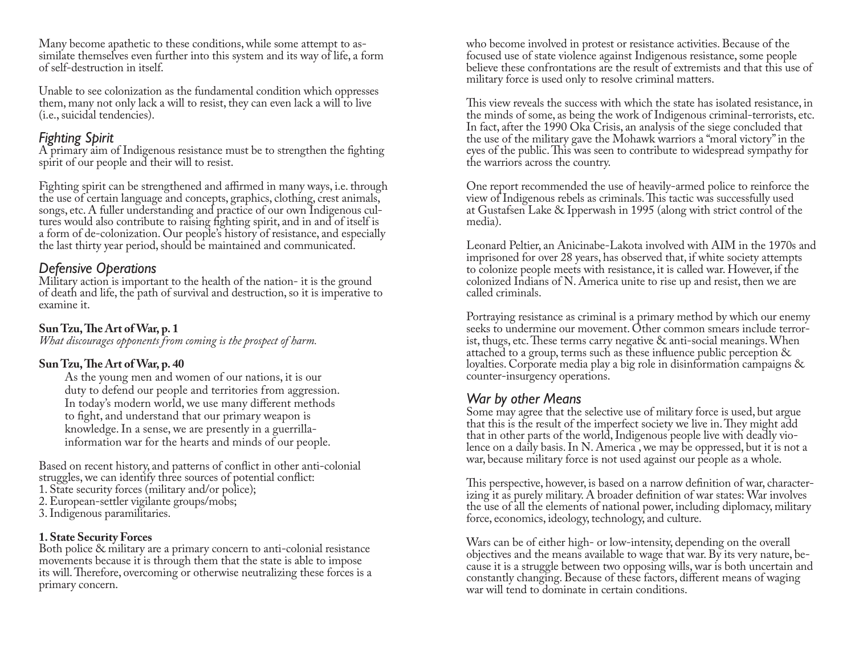Many become apathetic to these conditions, while some attempt to assimilate themselves even further into this system and its way of life, a form of self-destruction in itself.

Unable to see colonization as the fundamental condition which oppresses them, many not only lack a will to resist, they can even lack a will to live (*i.e.*, suicidal tendencies).

### **Fighting Spirit**

A primary aim of Indigenous resistance must be to strengthen the fighting spirit of our people and their will to resist.

Fighting spirit can be strengthened and affirmed in many ways, i.e. through the use of certain language and concepts, graphics, clothing, crest animals, songs, etc. A fuller understanding and practice of our own Indigenous cultures would also contribute to raising fighting spirit, and in and of itself is a form of de-colonization. Our people's history of resistance, and especially the last thirty year period, should be maintained and communicated.

### **Defensive Operations**

Military action is important to the health of the nation- it is the ground of death and life, the path of survival and destruction, so it is imperative to examine it.

### Sun Tzu, The Art of War, p. 1

What discourages opponents from coming is the prospect of harm.

### Sun Tzu, The Art of War, p. 40

As the young men and women of our nations, it is our duty to defend our people and territories from aggression. In today's modern world, we use many different methods to fight, and understand that our primary weapon is knowledge. In a sense, we are presently in a guerrillainformation war for the hearts and minds of our people.

Based on recent history, and patterns of conflict in other anti-colonial struggles, we can identify three sources of potential conflict:

- 1. State security forces (military and/or police);
- 2. European-settler vigilante groups/mobs;
- 3. Indigenous paramilitaries.

#### **1. State Security Forces**

Both police & military are a primary concern to anti-colonial resistance movements because it is through them that the state is able to impose its will. Therefore, overcoming or otherwise neutralizing these forces is a primary concern.

who become involved in protest or resistance activities. Because of the focused use of state violence against Indigenous resistance, some people believe these confrontations are the result of extremists and that this use of military force is used only to resolve criminal matters.

This view reveals the success with which the state has isolated resistance, in the minds of some, as being the work of Indigenous criminal-terrorists, etc. In fact, after the 1990 Oka Crisis, an analysis of the siege concluded that the use of the military gave the Mohawk warriors a "moral victory" in the eyes of the public. This was seen to contribute to widespread sympathy for the warriors across the country.

One report recommended the use of heavily-armed police to reinforce the view of Indigenous rebels as criminals. This tactic was successfully used at Gustafsen Lake & Ipperwash in 1995 (along with strict control of the media).

Leonard Peltier, an Anicinabe-Lakota involved with AIM in the 1970s and imprisoned for over 28 years, has observed that, if white society attempts to colonize people meets with resistance, it is called war. However, if the colonized Indians of N. America unite to rise up and resist, then we are called criminals.

Portraying resistance as criminal is a primary method by which our enemy seeks to undermine our movement. Other common smears include terrorist, thugs, etc. These terms carry negative  $\&$  anti-social meanings. When attached to a group, terms such as these influence public perception  $\&$ loyalties. Corporate media play a big role in disinformation campaigns & counter-insurgency operations.

### War by other Means

Some may agree that the selective use of military force is used, but argue that this is the result of the imperfect society we live in. They might add that in other parts of the world, Indigenous people live with deadly violence on a daily basis. In N. America, we may be oppressed, but it is not a war, because military force is not used against our people as a whole.

This perspective, however, is based on a narrow definition of war, characterizing it as purely military. A broader definition of war states: War involves the use of all the elements of national power, including diplomacy, military force, economics, ideology, technology, and culture.

Wars can be of either high- or low-intensity, depending on the overall objectives and the means available to wage that war. By its very nature, because it is a struggle between two opposing wills, war is both uncertain and constantly changing. Because of these factors, different means of waging war will tend to dominate in certain conditions.